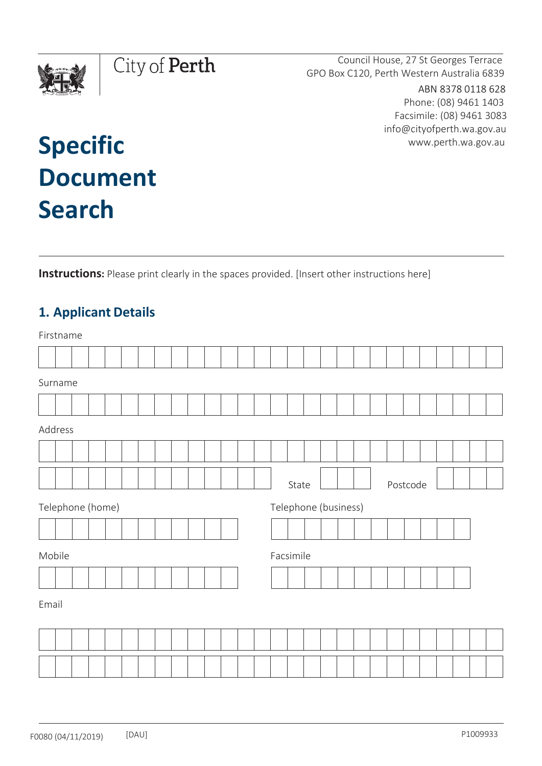

Council House, 27 St Georges Terrace GPO Box C120, Perth Western Australia 6839

> ABN 8378 0118 628 Phone: (08) 9461 1403 Facsimile: (08) 9461 3083 [info@cityofperth.wa.gov.au](mailto:info.city@cityofperth.wa.gov.au) [www.perth.wa.gov.au](http://www.perth.wa.gov.au/)

# **Specific Document Search**

**Instructions:** Please print clearly in the spaces provided. [Insert other instructions here]

# **1. Applicant Details**

|       | Firstname        |  |  |  |  |  |  |  |  |  |  |  |  |                      |       |  |  |  |  |  |          |  |  |  |  |  |
|-------|------------------|--|--|--|--|--|--|--|--|--|--|--|--|----------------------|-------|--|--|--|--|--|----------|--|--|--|--|--|
|       |                  |  |  |  |  |  |  |  |  |  |  |  |  |                      |       |  |  |  |  |  |          |  |  |  |  |  |
|       | Surname          |  |  |  |  |  |  |  |  |  |  |  |  |                      |       |  |  |  |  |  |          |  |  |  |  |  |
|       |                  |  |  |  |  |  |  |  |  |  |  |  |  |                      |       |  |  |  |  |  |          |  |  |  |  |  |
|       | Address          |  |  |  |  |  |  |  |  |  |  |  |  |                      |       |  |  |  |  |  |          |  |  |  |  |  |
|       |                  |  |  |  |  |  |  |  |  |  |  |  |  |                      |       |  |  |  |  |  |          |  |  |  |  |  |
|       |                  |  |  |  |  |  |  |  |  |  |  |  |  |                      | State |  |  |  |  |  | Postcode |  |  |  |  |  |
|       | Telephone (home) |  |  |  |  |  |  |  |  |  |  |  |  | Telephone (business) |       |  |  |  |  |  |          |  |  |  |  |  |
|       |                  |  |  |  |  |  |  |  |  |  |  |  |  |                      |       |  |  |  |  |  |          |  |  |  |  |  |
|       | Mobile           |  |  |  |  |  |  |  |  |  |  |  |  | Facsimile            |       |  |  |  |  |  |          |  |  |  |  |  |
|       |                  |  |  |  |  |  |  |  |  |  |  |  |  |                      |       |  |  |  |  |  |          |  |  |  |  |  |
| Email |                  |  |  |  |  |  |  |  |  |  |  |  |  |                      |       |  |  |  |  |  |          |  |  |  |  |  |
|       |                  |  |  |  |  |  |  |  |  |  |  |  |  |                      |       |  |  |  |  |  |          |  |  |  |  |  |
|       |                  |  |  |  |  |  |  |  |  |  |  |  |  |                      |       |  |  |  |  |  |          |  |  |  |  |  |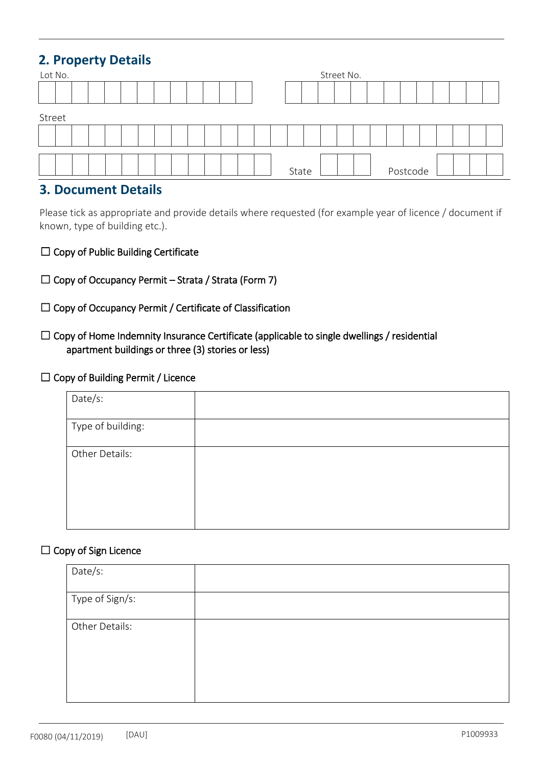# **2. Property Details**

|        | Lot No. |  |  |  |  |  |  |  |  |  |  |  | Street No. |       |  |  |  |  |  |          |  |  |  |  |
|--------|---------|--|--|--|--|--|--|--|--|--|--|--|------------|-------|--|--|--|--|--|----------|--|--|--|--|
|        |         |  |  |  |  |  |  |  |  |  |  |  |            |       |  |  |  |  |  |          |  |  |  |  |
| Street |         |  |  |  |  |  |  |  |  |  |  |  |            |       |  |  |  |  |  |          |  |  |  |  |
|        |         |  |  |  |  |  |  |  |  |  |  |  |            |       |  |  |  |  |  |          |  |  |  |  |
|        |         |  |  |  |  |  |  |  |  |  |  |  |            | State |  |  |  |  |  | Postcode |  |  |  |  |

## **3. Document Details**

Please tick as appropriate and provide details where requested (for example year of licence / document if known, type of building etc.).

- ☐ Copy of Public Building Certificate
- $\Box$  Copy of Occupancy Permit Strata / Strata (Form 7)
- ☐ Copy of Occupancy Permit / Certificate of Classification
- $\Box$  Copy of Home Indemnity Insurance Certificate (applicable to single dwellings / residential apartment buildings or three (3) stories or less)

#### ☐ Copy of Building Permit / Licence

| Date/s:           |  |
|-------------------|--|
| Type of building: |  |
| Other Details:    |  |

#### $\Box$  Copy of Sign Licence

| Date/s:         |  |
|-----------------|--|
| Type of Sign/s: |  |
| Other Details:  |  |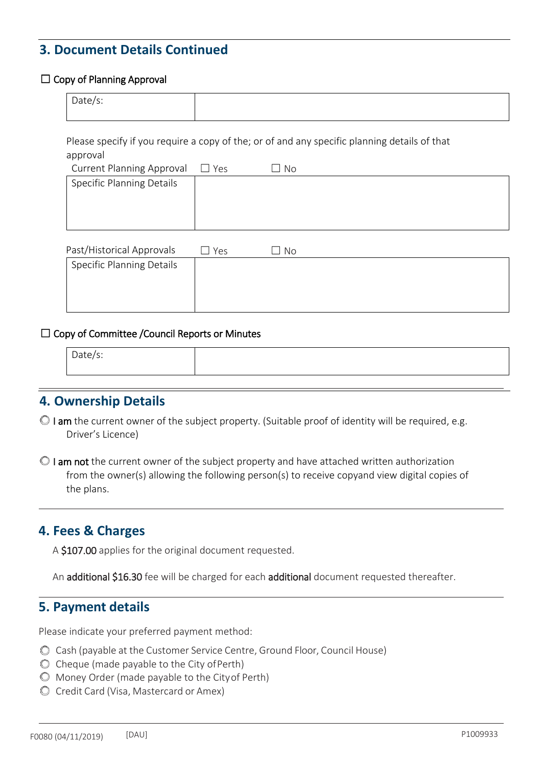# **3. Document Details Continued**

#### $\Box$  Copy of Planning Approval

| Date/s: |  |
|---------|--|
|         |  |
|         |  |

Please specify if you require a copy of the; or of and any specific planning details of that approval

| <b>Current Planning Approval</b> | $\Box$ Yes | No |
|----------------------------------|------------|----|
| Specific Planning Details        |            |    |
|                                  |            |    |
|                                  |            |    |
|                                  |            |    |

| Past/Historical Approvals | Yes | No |
|---------------------------|-----|----|
| Specific Planning Details |     |    |
|                           |     |    |
|                           |     |    |
|                           |     |    |

#### ☐ Copy of Committee /Council Reports or Minutes

| Date/s: |  |
|---------|--|
|         |  |
|         |  |
|         |  |

## **4. Ownership Details**

- $\circ$  I am the current owner of the subject property. (Suitable proof of identity will be required, e.g. Driver's Licence)
- $\circ$  I am not the current owner of the subject property and have attached written authorization from the owner(s) allowing the following person(s) to receive copyand view digital copies of the plans.

## **4. Fees & Charges**

A \$107.00 applies for the original document requested.

An additional \$16.30 fee will be charged for each additional document requested thereafter.

### **5. Payment details**

Please indicate your preferred payment method:

- Cash (payable at the Customer Service Centre, Ground Floor, Council House)
- $\odot$  Cheque (made payable to the City of Perth)
- Money Order (made payable to the Cityof Perth)
- Credit Card (Visa, Mastercard or Amex)